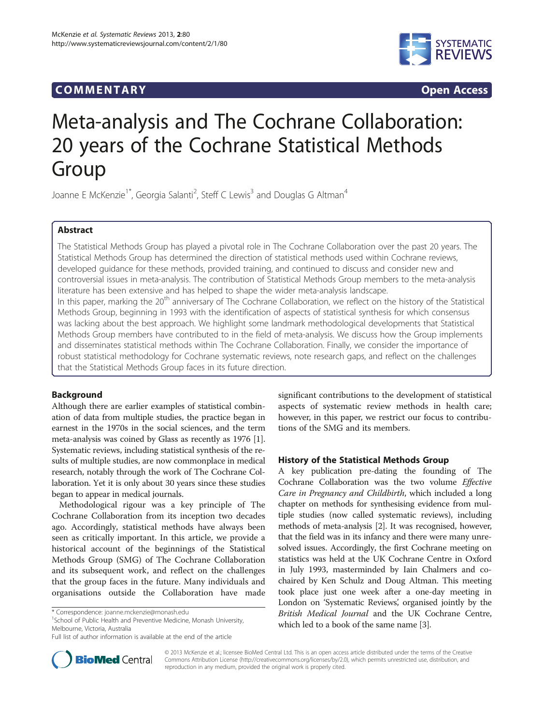## COMM EN TARY Open Access



# Meta-analysis and The Cochrane Collaboration: 20 years of the Cochrane Statistical Methods Group

Joanne E McKenzie<sup>1\*</sup>, Georgia Salanti<sup>2</sup>, Steff C Lewis<sup>3</sup> and Douglas G Altman<sup>4</sup>

## Abstract

The Statistical Methods Group has played a pivotal role in The Cochrane Collaboration over the past 20 years. The Statistical Methods Group has determined the direction of statistical methods used within Cochrane reviews, developed guidance for these methods, provided training, and continued to discuss and consider new and controversial issues in meta-analysis. The contribution of Statistical Methods Group members to the meta-analysis literature has been extensive and has helped to shape the wider meta-analysis landscape. In this paper, marking the 20<sup>th</sup> anniversary of The Cochrane Collaboration, we reflect on the history of the Statistical Methods Group, beginning in 1993 with the identification of aspects of statistical synthesis for which consensus was lacking about the best approach. We highlight some landmark methodological developments that Statistical Methods Group members have contributed to in the field of meta-analysis. We discuss how the Group implements and disseminates statistical methods within The Cochrane Collaboration. Finally, we consider the importance of robust statistical methodology for Cochrane systematic reviews, note research gaps, and reflect on the challenges that the Statistical Methods Group faces in its future direction.

## Background

Although there are earlier examples of statistical combination of data from multiple studies, the practice began in earnest in the 1970s in the social sciences, and the term meta-analysis was coined by Glass as recently as 1976 [[1](#page-7-0)]. Systematic reviews, including statistical synthesis of the results of multiple studies, are now commonplace in medical research, notably through the work of The Cochrane Collaboration. Yet it is only about 30 years since these studies began to appear in medical journals.

Methodological rigour was a key principle of The Cochrane Collaboration from its inception two decades ago. Accordingly, statistical methods have always been seen as critically important. In this article, we provide a historical account of the beginnings of the Statistical Methods Group (SMG) of The Cochrane Collaboration and its subsequent work, and reflect on the challenges that the group faces in the future. Many individuals and organisations outside the Collaboration have made

<sup>1</sup> School of Public Health and Preventive Medicine, Monash University, Melbourne, Victoria, Australia

significant contributions to the development of statistical aspects of systematic review methods in health care; however, in this paper, we restrict our focus to contributions of the SMG and its members.

## History of the Statistical Methods Group

A key publication pre-dating the founding of The Cochrane Collaboration was the two volume Effective Care in Pregnancy and Childbirth, which included a long chapter on methods for synthesising evidence from multiple studies (now called systematic reviews), including methods of meta-analysis [\[2\]](#page-7-0). It was recognised, however, that the field was in its infancy and there were many unresolved issues. Accordingly, the first Cochrane meeting on statistics was held at the UK Cochrane Centre in Oxford in July 1993, masterminded by Iain Chalmers and cochaired by Ken Schulz and Doug Altman. This meeting took place just one week after a one-day meeting in London on 'Systematic Reviews', organised jointly by the British Medical Journal and the UK Cochrane Centre, which led to a book of the same name [\[3](#page-7-0)].



© 2013 McKenzie et al.; licensee BioMed Central Ltd. This is an open access article distributed under the terms of the Creative Commons Attribution License [\(http://creativecommons.org/licenses/by/2.0\)](http://creativecommons.org/licenses/by/2.0), which permits unrestricted use, distribution, and reproduction in any medium, provided the original work is properly cited.

<sup>\*</sup> Correspondence: [joanne.mckenzie@monash.edu](mailto:joanne.mckenzie@monash.edu) <sup>1</sup>

Full list of author information is available at the end of the article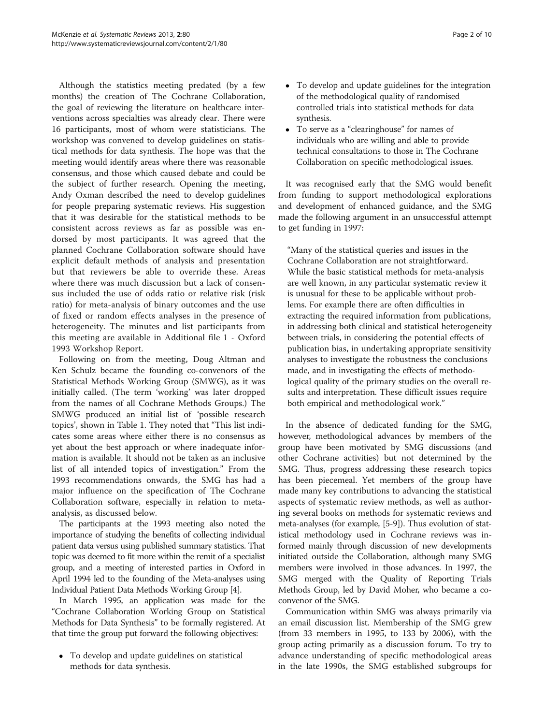Although the statistics meeting predated (by a few months) the creation of The Cochrane Collaboration, the goal of reviewing the literature on healthcare interventions across specialties was already clear. There were 16 participants, most of whom were statisticians. The workshop was convened to develop guidelines on statistical methods for data synthesis. The hope was that the meeting would identify areas where there was reasonable consensus, and those which caused debate and could be the subject of further research. Opening the meeting, Andy Oxman described the need to develop guidelines for people preparing systematic reviews. His suggestion that it was desirable for the statistical methods to be consistent across reviews as far as possible was endorsed by most participants. It was agreed that the planned Cochrane Collaboration software should have explicit default methods of analysis and presentation but that reviewers be able to override these. Areas where there was much discussion but a lack of consensus included the use of odds ratio or relative risk (risk ratio) for meta-analysis of binary outcomes and the use of fixed or random effects analyses in the presence of heterogeneity. The minutes and list participants from this meeting are available in Additional file [1](#page-7-0) - Oxford 1993 Workshop Report.

Following on from the meeting, Doug Altman and Ken Schulz became the founding co-convenors of the Statistical Methods Working Group (SMWG), as it was initially called. (The term 'working' was later dropped from the names of all Cochrane Methods Groups.) The SMWG produced an initial list of 'possible research topics', shown in Table [1](#page-2-0). They noted that "This list indicates some areas where either there is no consensus as yet about the best approach or where inadequate information is available. It should not be taken as an inclusive list of all intended topics of investigation." From the 1993 recommendations onwards, the SMG has had a major influence on the specification of The Cochrane Collaboration software, especially in relation to metaanalysis, as discussed below.

The participants at the 1993 meeting also noted the importance of studying the benefits of collecting individual patient data versus using published summary statistics. That topic was deemed to fit more within the remit of a specialist group, and a meeting of interested parties in Oxford in April 1994 led to the founding of the Meta-analyses using Individual Patient Data Methods Working Group [\[4\]](#page-7-0).

In March 1995, an application was made for the "Cochrane Collaboration Working Group on Statistical Methods for Data Synthesis" to be formally registered. At that time the group put forward the following objectives:

 To develop and update guidelines on statistical methods for data synthesis.

- To develop and update guidelines for the integration of the methodological quality of randomised controlled trials into statistical methods for data synthesis.
- To serve as a "clearinghouse" for names of individuals who are willing and able to provide technical consultations to those in The Cochrane Collaboration on specific methodological issues.

It was recognised early that the SMG would benefit from funding to support methodological explorations and development of enhanced guidance, and the SMG made the following argument in an unsuccessful attempt to get funding in 1997:

"Many of the statistical queries and issues in the Cochrane Collaboration are not straightforward. While the basic statistical methods for meta-analysis are well known, in any particular systematic review it is unusual for these to be applicable without problems. For example there are often difficulties in extracting the required information from publications, in addressing both clinical and statistical heterogeneity between trials, in considering the potential effects of publication bias, in undertaking appropriate sensitivity analyses to investigate the robustness the conclusions made, and in investigating the effects of methodological quality of the primary studies on the overall results and interpretation. These difficult issues require both empirical and methodological work."

In the absence of dedicated funding for the SMG, however, methodological advances by members of the group have been motivated by SMG discussions (and other Cochrane activities) but not determined by the SMG. Thus, progress addressing these research topics has been piecemeal. Yet members of the group have made many key contributions to advancing the statistical aspects of systematic review methods, as well as authoring several books on methods for systematic reviews and meta-analyses (for example, [\[5-9](#page-7-0)]). Thus evolution of statistical methodology used in Cochrane reviews was informed mainly through discussion of new developments initiated outside the Collaboration, although many SMG members were involved in those advances. In 1997, the SMG merged with the Quality of Reporting Trials Methods Group, led by David Moher, who became a coconvenor of the SMG.

Communication within SMG was always primarily via an email discussion list. Membership of the SMG grew (from 33 members in 1995, to 133 by 2006), with the group acting primarily as a discussion forum. To try to advance understanding of specific methodological areas in the late 1990s, the SMG established subgroups for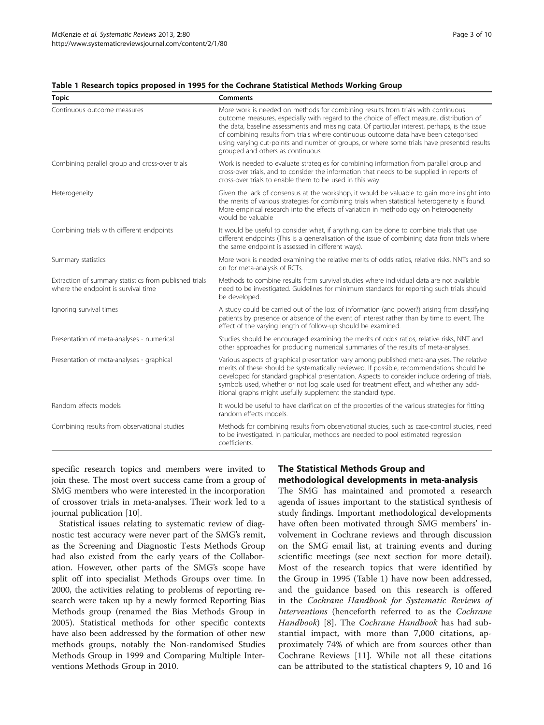#### <span id="page-2-0"></span>Table 1 Research topics proposed in 1995 for the Cochrane Statistical Methods Working Group

| <b>Topic</b>                                                                                  | <b>Comments</b>                                                                                                                                                                                                                                                                                                                                                                                                                                                                                            |
|-----------------------------------------------------------------------------------------------|------------------------------------------------------------------------------------------------------------------------------------------------------------------------------------------------------------------------------------------------------------------------------------------------------------------------------------------------------------------------------------------------------------------------------------------------------------------------------------------------------------|
| Continuous outcome measures                                                                   | More work is needed on methods for combining results from trials with continuous<br>outcome measures, especially with regard to the choice of effect measure, distribution of<br>the data, baseline assessments and missing data. Of particular interest, perhaps, is the issue<br>of combining results from trials where continuous outcome data have been categorised<br>using varying cut-points and number of groups, or where some trials have presented results<br>grouped and others as continuous. |
| Combining parallel group and cross-over trials                                                | Work is needed to evaluate strategies for combining information from parallel group and<br>cross-over trials, and to consider the information that needs to be supplied in reports of<br>cross-over trials to enable them to be used in this way.                                                                                                                                                                                                                                                          |
| Heterogeneity                                                                                 | Given the lack of consensus at the workshop, it would be valuable to gain more insight into<br>the merits of various strategies for combining trials when statistical heterogeneity is found.<br>More empirical research into the effects of variation in methodology on heterogeneity<br>would be valuable                                                                                                                                                                                                |
| Combining trials with different endpoints                                                     | It would be useful to consider what, if anything, can be done to combine trials that use<br>different endpoints (This is a generalisation of the issue of combining data from trials where<br>the same endpoint is assessed in different ways).                                                                                                                                                                                                                                                            |
| Summary statistics                                                                            | More work is needed examining the relative merits of odds ratios, relative risks, NNTs and so<br>on for meta-analysis of RCTs.                                                                                                                                                                                                                                                                                                                                                                             |
| Extraction of summary statistics from published trials<br>where the endpoint is survival time | Methods to combine results from survival studies where individual data are not available<br>need to be investigated. Guidelines for minimum standards for reporting such trials should<br>be developed.                                                                                                                                                                                                                                                                                                    |
| Ignoring survival times                                                                       | A study could be carried out of the loss of information (and power?) arising from classifying<br>patients by presence or absence of the event of interest rather than by time to event. The<br>effect of the varying length of follow-up should be examined.                                                                                                                                                                                                                                               |
| Presentation of meta-analyses - numerical                                                     | Studies should be encouraged examining the merits of odds ratios, relative risks, NNT and<br>other approaches for producing numerical summaries of the results of meta-analyses.                                                                                                                                                                                                                                                                                                                           |
| Presentation of meta-analyses - graphical                                                     | Various aspects of graphical presentation vary among published meta-analyses. The relative<br>merits of these should be systematically reviewed. If possible, recommendations should be<br>developed for standard graphical presentation. Aspects to consider include ordering of trials,<br>symbols used, whether or not log scale used for treatment effect, and whether any add-<br>itional graphs might usefully supplement the standard type.                                                         |
| Random effects models                                                                         | It would be useful to have clarification of the properties of the various strategies for fitting<br>random effects models.                                                                                                                                                                                                                                                                                                                                                                                 |
| Combining results from observational studies                                                  | Methods for combining results from observational studies, such as case-control studies, need<br>to be investigated. In particular, methods are needed to pool estimated regression<br>coefficients.                                                                                                                                                                                                                                                                                                        |

specific research topics and members were invited to join these. The most overt success came from a group of SMG members who were interested in the incorporation of crossover trials in meta-analyses. Their work led to a journal publication [\[10](#page-7-0)].

Statistical issues relating to systematic review of diagnostic test accuracy were never part of the SMG's remit, as the Screening and Diagnostic Tests Methods Group had also existed from the early years of the Collaboration. However, other parts of the SMG's scope have split off into specialist Methods Groups over time. In 2000, the activities relating to problems of reporting research were taken up by a newly formed Reporting Bias Methods group (renamed the Bias Methods Group in 2005). Statistical methods for other specific contexts have also been addressed by the formation of other new methods groups, notably the Non-randomised Studies Methods Group in 1999 and Comparing Multiple Interventions Methods Group in 2010.

## The Statistical Methods Group and methodological developments in meta-analysis

The SMG has maintained and promoted a research agenda of issues important to the statistical synthesis of study findings. Important methodological developments have often been motivated through SMG members' involvement in Cochrane reviews and through discussion on the SMG email list, at training events and during scientific meetings (see next section for more detail). Most of the research topics that were identified by the Group in 1995 (Table 1) have now been addressed, and the guidance based on this research is offered in the Cochrane Handbook for Systematic Reviews of Interventions (henceforth referred to as the Cochrane Handbook) [[8\]](#page-7-0). The Cochrane Handbook has had substantial impact, with more than 7,000 citations, approximately 74% of which are from sources other than Cochrane Reviews [[11\]](#page-7-0). While not all these citations can be attributed to the statistical chapters 9, 10 and 16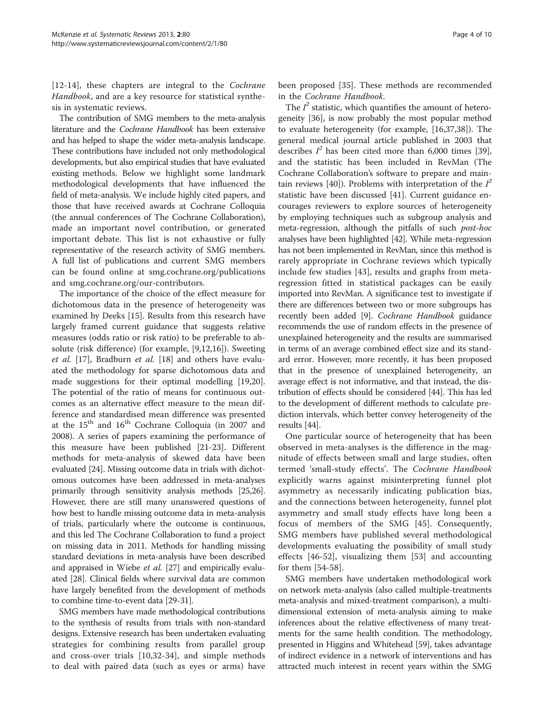[[12](#page-7-0)-[14\]](#page-7-0), these chapters are integral to the Cochrane Handbook, and are a key resource for statistical synthesis in systematic reviews.

The contribution of SMG members to the meta-analysis literature and the Cochrane Handbook has been extensive and has helped to shape the wider meta-analysis landscape. These contributions have included not only methodological developments, but also empirical studies that have evaluated existing methods. Below we highlight some landmark methodological developments that have influenced the field of meta-analysis. We include highly cited papers, and those that have received awards at Cochrane Colloquia (the annual conferences of The Cochrane Collaboration), made an important novel contribution, or generated important debate. This list is not exhaustive or fully representative of the research activity of SMG members. A full list of publications and current SMG members can be found online at smg.cochrane.org/publications and smg.cochrane.org/our-contributors.

The importance of the choice of the effect measure for dichotomous data in the presence of heterogeneity was examined by Deeks [\[15\]](#page-7-0). Results from this research have largely framed current guidance that suggests relative measures (odds ratio or risk ratio) to be preferable to absolute (risk difference) (for example, [\[9,12,16](#page-7-0)]). Sweeting et al. [[17\]](#page-7-0), Bradburn et al. [[18\]](#page-7-0) and others have evaluated the methodology for sparse dichotomous data and made suggestions for their optimal modelling [\[19,20](#page-7-0)]. The potential of the ratio of means for continuous outcomes as an alternative effect measure to the mean difference and standardised mean difference was presented at the 15<sup>th</sup> and 16<sup>th</sup> Cochrane Colloquia (in 2007 and 2008). A series of papers examining the performance of this measure have been published [[21](#page-7-0)[-23](#page-8-0)]. Different methods for meta-analysis of skewed data have been evaluated [\[24\]](#page-8-0). Missing outcome data in trials with dichotomous outcomes have been addressed in meta-analyses primarily through sensitivity analysis methods [\[25,26](#page-8-0)]. However, there are still many unanswered questions of how best to handle missing outcome data in meta-analysis of trials, particularly where the outcome is continuous, and this led The Cochrane Collaboration to fund a project on missing data in 2011. Methods for handling missing standard deviations in meta-analysis have been described and appraised in Wiebe et al. [\[27](#page-8-0)] and empirically evaluated [\[28\]](#page-8-0). Clinical fields where survival data are common have largely benefited from the development of methods to combine time-to-event data [\[29-31\]](#page-8-0).

SMG members have made methodological contributions to the synthesis of results from trials with non-standard designs. Extensive research has been undertaken evaluating strategies for combining results from parallel group and cross-over trials [[10](#page-7-0)[,32](#page-8-0)-[34\]](#page-8-0), and simple methods to deal with paired data (such as eyes or arms) have

been proposed [\[35](#page-8-0)]. These methods are recommended in the Cochrane Handbook.

The  $I^2$  statistic, which quantifies the amount of heterogeneity [[36\]](#page-8-0), is now probably the most popular method to evaluate heterogeneity (for example, [\[16,](#page-7-0)[37,38\]](#page-8-0)). The general medical journal article published in 2003 that describes  $I^2$  has been cited more than 6,000 times [\[39](#page-8-0)], and the statistic has been included in RevMan (The Cochrane Collaboration's software to prepare and main-tain reviews [\[40](#page-8-0)]). Problems with interpretation of the  $I^2$ statistic have been discussed [\[41\]](#page-8-0). Current guidance encourages reviewers to explore sources of heterogeneity by employing techniques such as subgroup analysis and meta-regression, although the pitfalls of such post-hoc analyses have been highlighted [[42](#page-8-0)]. While meta-regression has not been implemented in RevMan, since this method is rarely appropriate in Cochrane reviews which typically include few studies [[43\]](#page-8-0), results and graphs from metaregression fitted in statistical packages can be easily imported into RevMan. A significance test to investigate if there are differences between two or more subgroups has recently been added [\[9](#page-7-0)]. Cochrane Handbook guidance recommends the use of random effects in the presence of unexplained heterogeneity and the results are summarised in terms of an average combined effect size and its standard error. However, more recently, it has been proposed that in the presence of unexplained heterogeneity, an average effect is not informative, and that instead, the distribution of effects should be considered [\[44](#page-8-0)]. This has led to the development of different methods to calculate prediction intervals, which better convey heterogeneity of the results [[44](#page-8-0)].

One particular source of heterogeneity that has been observed in meta-analyses is the difference in the magnitude of effects between small and large studies, often termed 'small-study effects'. The Cochrane Handbook explicitly warns against misinterpreting funnel plot asymmetry as necessarily indicating publication bias, and the connections between heterogeneity, funnel plot asymmetry and small study effects have long been a focus of members of the SMG [[45\]](#page-8-0). Consequently, SMG members have published several methodological developments evaluating the possibility of small study effects [[46](#page-8-0)-[52\]](#page-8-0), visualizing them [[53\]](#page-8-0) and accounting for them [\[54](#page-8-0)-[58](#page-8-0)].

SMG members have undertaken methodological work on network meta-analysis (also called multiple-treatments meta-analysis and mixed-treatment comparison), a multidimensional extension of meta-analysis aiming to make inferences about the relative effectiveness of many treatments for the same health condition. The methodology, presented in Higgins and Whitehead [\[59\]](#page-8-0), takes advantage of indirect evidence in a network of interventions and has attracted much interest in recent years within the SMG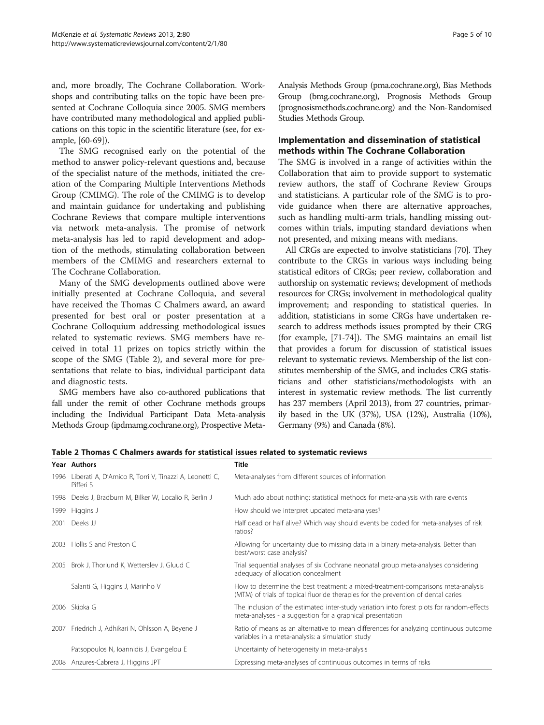and, more broadly, The Cochrane Collaboration. Workshops and contributing talks on the topic have been presented at Cochrane Colloquia since 2005. SMG members have contributed many methodological and applied publications on this topic in the scientific literature (see, for example, [[60](#page-8-0)-[69](#page-8-0)]).

The SMG recognised early on the potential of the method to answer policy-relevant questions and, because of the specialist nature of the methods, initiated the creation of the Comparing Multiple Interventions Methods Group (CMIMG). The role of the CMIMG is to develop and maintain guidance for undertaking and publishing Cochrane Reviews that compare multiple interventions via network meta-analysis. The promise of network meta-analysis has led to rapid development and adoption of the methods, stimulating collaboration between members of the CMIMG and researchers external to The Cochrane Collaboration.

Many of the SMG developments outlined above were initially presented at Cochrane Colloquia, and several have received the Thomas C Chalmers award, an award presented for best oral or poster presentation at a Cochrane Colloquium addressing methodological issues related to systematic reviews. SMG members have received in total 11 prizes on topics strictly within the scope of the SMG (Table 2), and several more for presentations that relate to bias, individual participant data and diagnostic tests.

SMG members have also co-authored publications that fall under the remit of other Cochrane methods groups including the Individual Participant Data Meta-analysis Methods Group (ipdmamg.cochrane.org), Prospective MetaAnalysis Methods Group (pma.cochrane.org), Bias Methods Group (bmg.cochrane.org), Prognosis Methods Group (prognosismethods.cochrane.org) and the Non-Randomised Studies Methods Group.

## Implementation and dissemination of statistical methods within The Cochrane Collaboration

The SMG is involved in a range of activities within the Collaboration that aim to provide support to systematic review authors, the staff of Cochrane Review Groups and statisticians. A particular role of the SMG is to provide guidance when there are alternative approaches, such as handling multi-arm trials, handling missing outcomes within trials, imputing standard deviations when not presented, and mixing means with medians.

All CRGs are expected to involve statisticians [[70](#page-8-0)]. They contribute to the CRGs in various ways including being statistical editors of CRGs; peer review, collaboration and authorship on systematic reviews; development of methods resources for CRGs; involvement in methodological quality improvement; and responding to statistical queries. In addition, statisticians in some CRGs have undertaken research to address methods issues prompted by their CRG (for example, [\[71-74\]](#page-9-0)). The SMG maintains an email list that provides a forum for discussion of statistical issues relevant to systematic reviews. Membership of the list constitutes membership of the SMG, and includes CRG statisticians and other statisticians/methodologists with an interest in systematic review methods. The list currently has 237 members (April 2013), from 27 countries, primarily based in the UK (37%), USA (12%), Australia (10%), Germany (9%) and Canada (8%).

|      | Year Authors                                                        | Title                                                                                                                                                                 |
|------|---------------------------------------------------------------------|-----------------------------------------------------------------------------------------------------------------------------------------------------------------------|
| 1996 | Liberati A, D'Amico R, Torri V, Tinazzi A, Leonetti C,<br>Pifferi S | Meta-analyses from different sources of information                                                                                                                   |
| 1998 | Deeks J, Bradburn M, Bilker W, Localio R, Berlin J                  | Much ado about nothing: statistical methods for meta-analysis with rare events                                                                                        |
| 1999 | Higgins J                                                           | How should we interpret updated meta-analyses?                                                                                                                        |
| 2001 | Deeks JJ                                                            | Half dead or half alive? Which way should events be coded for meta-analyses of risk<br>ratios?                                                                        |
| 2003 | Hollis S and Preston C                                              | Allowing for uncertainty due to missing data in a binary meta-analysis. Better than<br>best/worst case analysis?                                                      |
| 2005 | Brok J, Thorlund K, Wetterslev J, Gluud C                           | Trial sequential analyses of six Cochrane neonatal group meta-analyses considering<br>adequacy of allocation concealment                                              |
|      | Salanti G, Higgins J, Marinho V                                     | How to determine the best treatment: a mixed-treatment-comparisons meta-analysis<br>(MTM) of trials of topical fluoride therapies for the prevention of dental caries |
| 2006 | Skipka G                                                            | The inclusion of the estimated inter-study variation into forest plots for random-effects<br>meta-analyses - a suggestion for a graphical presentation                |
| 2007 | Friedrich J, Adhikari N, Ohlsson A, Beyene J                        | Ratio of means as an alternative to mean differences for analyzing continuous outcome<br>variables in a meta-analysis: a simulation study                             |
|      | Patsopoulos N, Ioannidis J, Evangelou E                             | Uncertainty of heterogeneity in meta-analysis                                                                                                                         |
| 2008 | Anzures-Cabrera J, Higgins JPT                                      | Expressing meta-analyses of continuous outcomes in terms of risks                                                                                                     |

Table 2 Thomas C Chalmers awards for statistical issues related to systematic reviews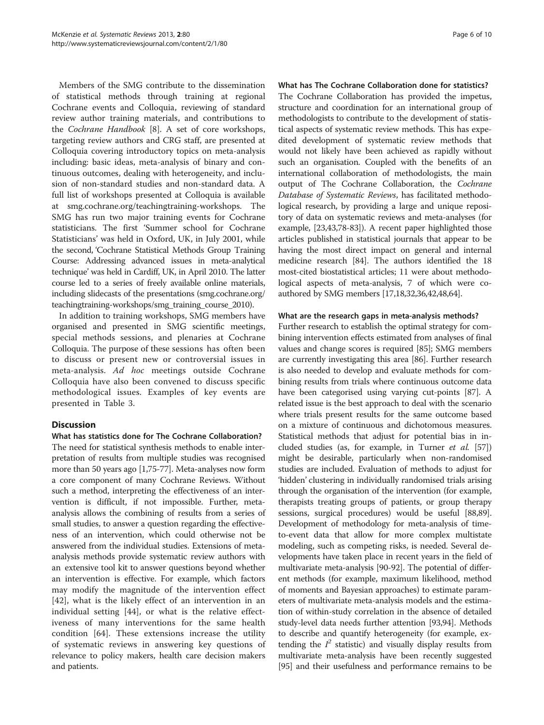Members of the SMG contribute to the dissemination of statistical methods through training at regional Cochrane events and Colloquia, reviewing of standard review author training materials, and contributions to the Cochrane Handbook [[8\]](#page-7-0). A set of core workshops, targeting review authors and CRG staff, are presented at Colloquia covering introductory topics on meta-analysis including: basic ideas, meta-analysis of binary and continuous outcomes, dealing with heterogeneity, and inclusion of non-standard studies and non-standard data. A full list of workshops presented at Colloquia is available at smg.cochrane.org/teachingtraining-workshops. The SMG has run two major training events for Cochrane statisticians. The first 'Summer school for Cochrane Statisticians' was held in Oxford, UK, in July 2001, while the second, 'Cochrane Statistical Methods Group Training Course: Addressing advanced issues in meta-analytical technique' was held in Cardiff, UK, in April 2010. The latter course led to a series of freely available online materials, including slidecasts of the presentations (smg.cochrane.org/ teachingtraining-workshops/smg\_training\_course\_2010).

In addition to training workshops, SMG members have organised and presented in SMG scientific meetings, special methods sessions, and plenaries at Cochrane Colloquia. The purpose of these sessions has often been to discuss or present new or controversial issues in meta-analysis. Ad hoc meetings outside Cochrane Colloquia have also been convened to discuss specific methodological issues. Examples of key events are presented in Table [3.](#page-6-0)

## **Discussion**

What has statistics done for The Cochrane Collaboration? The need for statistical synthesis methods to enable interpretation of results from multiple studies was recognised more than 50 years ago [\[1](#page-7-0)[,75-77\]](#page-9-0). Meta-analyses now form a core component of many Cochrane Reviews. Without such a method, interpreting the effectiveness of an intervention is difficult, if not impossible. Further, metaanalysis allows the combining of results from a series of small studies, to answer a question regarding the effectiveness of an intervention, which could otherwise not be answered from the individual studies. Extensions of metaanalysis methods provide systematic review authors with an extensive tool kit to answer questions beyond whether an intervention is effective. For example, which factors may modify the magnitude of the intervention effect [[42\]](#page-8-0), what is the likely effect of an intervention in an individual setting [\[44](#page-8-0)], or what is the relative effectiveness of many interventions for the same health condition [[64\]](#page-8-0). These extensions increase the utility of systematic reviews in answering key questions of relevance to policy makers, health care decision makers and patients.

## What has The Cochrane Collaboration done for statistics?

The Cochrane Collaboration has provided the impetus, structure and coordination for an international group of methodologists to contribute to the development of statistical aspects of systematic review methods. This has expedited development of systematic review methods that would not likely have been achieved as rapidly without such an organisation. Coupled with the benefits of an international collaboration of methodologists, the main output of The Cochrane Collaboration, the Cochrane Database of Systematic Reviews, has facilitated methodological research, by providing a large and unique repository of data on systematic reviews and meta-analyses (for example, [[23,43,](#page-8-0)[78-83\]](#page-9-0)). A recent paper highlighted those articles published in statistical journals that appear to be having the most direct impact on general and internal medicine research [\[84\]](#page-9-0). The authors identified the 18 most-cited biostatistical articles; 11 were about methodological aspects of meta-analysis, 7 of which were coauthored by SMG members [[17,18,](#page-7-0)[32,36,42,48,64](#page-8-0)].

#### What are the research gaps in meta-analysis methods?

Further research to establish the optimal strategy for combining intervention effects estimated from analyses of final values and change scores is required [\[85\]](#page-9-0); SMG members are currently investigating this area [[86](#page-9-0)]. Further research is also needed to develop and evaluate methods for combining results from trials where continuous outcome data have been categorised using varying cut-points [[87](#page-9-0)]. A related issue is the best approach to deal with the scenario where trials present results for the same outcome based on a mixture of continuous and dichotomous measures. Statistical methods that adjust for potential bias in included studies (as, for example, in Turner et al. [[57](#page-8-0)]) might be desirable, particularly when non-randomised studies are included. Evaluation of methods to adjust for 'hidden' clustering in individually randomised trials arising through the organisation of the intervention (for example, therapists treating groups of patients, or group therapy sessions, surgical procedures) would be useful [\[88,89](#page-9-0)]. Development of methodology for meta-analysis of timeto-event data that allow for more complex multistate modeling, such as competing risks, is needed. Several developments have taken place in recent years in the field of multivariate meta-analysis [\[90-92](#page-9-0)]. The potential of different methods (for example, maximum likelihood, method of moments and Bayesian approaches) to estimate parameters of multivariate meta-analysis models and the estimation of within-study correlation in the absence of detailed study-level data needs further attention [[93,94](#page-9-0)]. Methods to describe and quantify heterogeneity (for example, extending the  $I^2$  statistic) and visually display results from multivariate meta-analysis have been recently suggested [[95](#page-9-0)] and their usefulness and performance remains to be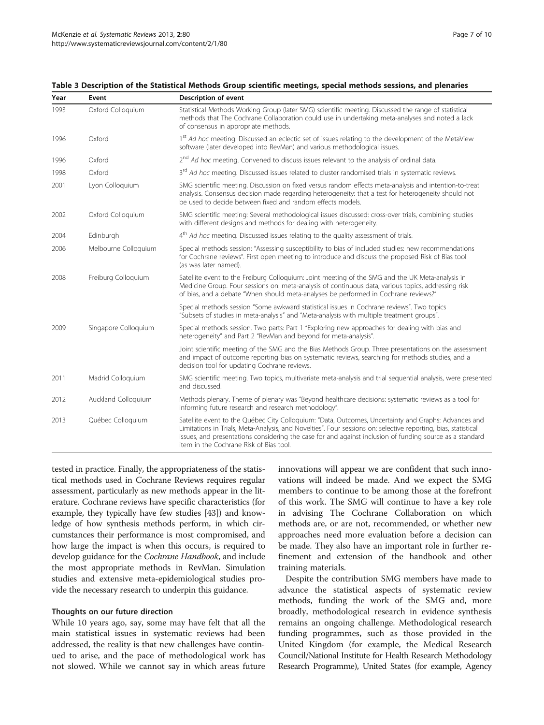<span id="page-6-0"></span>

| Table 3 Description of the Statistical Methods Group scientific meetings, special methods sessions, and plenaries |  |  |  |
|-------------------------------------------------------------------------------------------------------------------|--|--|--|
|-------------------------------------------------------------------------------------------------------------------|--|--|--|

| Year | Event                | Description of event                                                                                                                                                                                                                                                                                                                                                          |
|------|----------------------|-------------------------------------------------------------------------------------------------------------------------------------------------------------------------------------------------------------------------------------------------------------------------------------------------------------------------------------------------------------------------------|
| 1993 | Oxford Colloquium    | Statistical Methods Working Group (later SMG) scientific meeting. Discussed the range of statistical<br>methods that The Cochrane Collaboration could use in undertaking meta-analyses and noted a lack<br>of consensus in appropriate methods.                                                                                                                               |
| 1996 | Oxford               | 1st Ad hoc meeting. Discussed an eclectic set of issues relating to the development of the MetaView<br>software (later developed into RevMan) and various methodological issues.                                                                                                                                                                                              |
| 1996 | Oxford               | 2 <sup>nd</sup> Ad hoc meeting. Convened to discuss issues relevant to the analysis of ordinal data.                                                                                                                                                                                                                                                                          |
| 1998 | Oxford               | 3 <sup>rd</sup> Ad hoc meeting. Discussed issues related to cluster randomised trials in systematic reviews.                                                                                                                                                                                                                                                                  |
| 2001 | Lyon Colloquium      | SMG scientific meeting. Discussion on fixed versus random effects meta-analysis and intention-to-treat<br>analysis. Consensus decision made regarding heterogeneity: that a test for heterogeneity should not<br>be used to decide between fixed and random effects models.                                                                                                   |
| 2002 | Oxford Colloquium    | SMG scientific meeting: Several methodological issues discussed: cross-over trials, combining studies<br>with different designs and methods for dealing with heterogeneity.                                                                                                                                                                                                   |
| 2004 | Edinburgh            | 4 <sup>th</sup> Ad hoc meeting. Discussed issues relating to the quality assessment of trials.                                                                                                                                                                                                                                                                                |
| 2006 | Melbourne Colloquium | Special methods session: "Assessing susceptibility to bias of included studies: new recommendations<br>for Cochrane reviews". First open meeting to introduce and discuss the proposed Risk of Bias tool<br>(as was later named).                                                                                                                                             |
| 2008 | Freiburg Colloquium  | Satellite event to the Freiburg Colloguium: Joint meeting of the SMG and the UK Meta-analysis in<br>Medicine Group. Four sessions on: meta-analysis of continuous data, various topics, addressing risk<br>of bias, and a debate "When should meta-analyses be performed in Cochrane reviews?"                                                                                |
|      |                      | Special methods session "Some awkward statistical issues in Cochrane reviews". Two topics<br>"Subsets of studies in meta-analysis" and "Meta-analysis with multiple treatment groups".                                                                                                                                                                                        |
| 2009 | Singapore Colloquium | Special methods session. Two parts: Part 1 "Exploring new approaches for dealing with bias and<br>heterogeneity" and Part 2 "RevMan and beyond for meta-analysis".                                                                                                                                                                                                            |
|      |                      | Joint scientific meeting of the SMG and the Bias Methods Group. Three presentations on the assessment<br>and impact of outcome reporting bias on systematic reviews, searching for methods studies, and a<br>decision tool for updating Cochrane reviews.                                                                                                                     |
| 2011 | Madrid Colloquium    | SMG scientific meeting. Two topics, multivariate meta-analysis and trial sequential analysis, were presented<br>and discussed.                                                                                                                                                                                                                                                |
| 2012 | Auckland Colloquium  | Methods plenary. Theme of plenary was "Beyond healthcare decisions: systematic reviews as a tool for<br>informing future research and research methodology".                                                                                                                                                                                                                  |
| 2013 | Québec Colloquium    | Satellite event to the Québec City Colloquium: "Data, Outcomes, Uncertainty and Graphs: Advances and<br>Limitations in Trials, Meta-Analysis, and Novelties". Four sessions on: selective reporting, bias, statistical<br>issues, and presentations considering the case for and against inclusion of funding source as a standard<br>item in the Cochrane Risk of Bias tool. |

tested in practice. Finally, the appropriateness of the statistical methods used in Cochrane Reviews requires regular assessment, particularly as new methods appear in the literature. Cochrane reviews have specific characteristics (for example, they typically have few studies [\[43\]](#page-8-0)) and knowledge of how synthesis methods perform, in which circumstances their performance is most compromised, and how large the impact is when this occurs, is required to develop guidance for the *Cochrane Handbook*, and include the most appropriate methods in RevMan. Simulation studies and extensive meta-epidemiological studies provide the necessary research to underpin this guidance.

## Thoughts on our future direction

While 10 years ago, say, some may have felt that all the main statistical issues in systematic reviews had been addressed, the reality is that new challenges have continued to arise, and the pace of methodological work has not slowed. While we cannot say in which areas future

innovations will appear we are confident that such innovations will indeed be made. And we expect the SMG members to continue to be among those at the forefront of this work. The SMG will continue to have a key role in advising The Cochrane Collaboration on which methods are, or are not, recommended, or whether new approaches need more evaluation before a decision can be made. They also have an important role in further refinement and extension of the handbook and other training materials.

Despite the contribution SMG members have made to advance the statistical aspects of systematic review methods, funding the work of the SMG and, more broadly, methodological research in evidence synthesis remains an ongoing challenge. Methodological research funding programmes, such as those provided in the United Kingdom (for example, the Medical Research Council/National Institute for Health Research Methodology Research Programme), United States (for example, Agency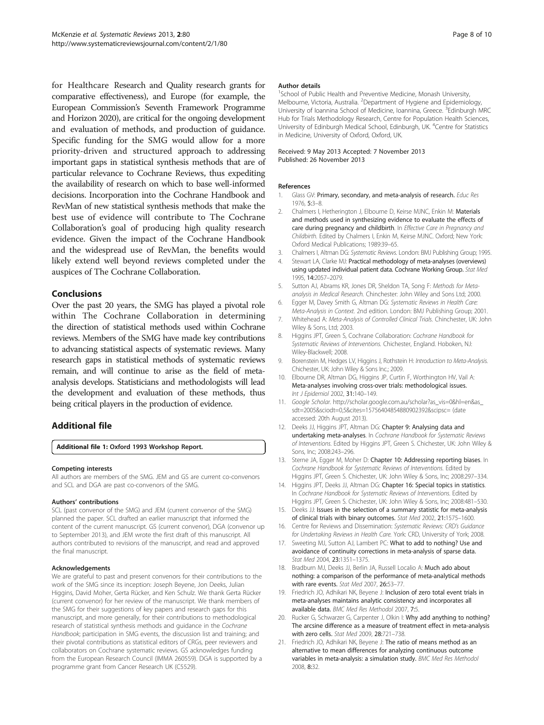<span id="page-7-0"></span>for Healthcare Research and Quality research grants for comparative effectiveness), and Europe (for example, the European Commission's Seventh Framework Programme and Horizon 2020), are critical for the ongoing development and evaluation of methods, and production of guidance. Specific funding for the SMG would allow for a more priority-driven and structured approach to addressing important gaps in statistical synthesis methods that are of particular relevance to Cochrane Reviews, thus expediting the availability of research on which to base well-informed decisions. Incorporation into the Cochrane Handbook and RevMan of new statistical synthesis methods that make the best use of evidence will contribute to The Cochrane Collaboration's goal of producing high quality research evidence. Given the impact of the Cochrane Handbook and the widespread use of RevMan, the benefits would likely extend well beyond reviews completed under the auspices of The Cochrane Collaboration.

## Conclusions

Over the past 20 years, the SMG has played a pivotal role within The Cochrane Collaboration in determining the direction of statistical methods used within Cochrane reviews. Members of the SMG have made key contributions to advancing statistical aspects of systematic reviews. Many research gaps in statistical methods of systematic reviews remain, and will continue to arise as the field of metaanalysis develops. Statisticians and methodologists will lead the development and evaluation of these methods, thus being critical players in the production of evidence.

## Additional file

#### [Additional file 1:](http://www.biomedcentral.com/content/supplementary/2046-4053-2-80-S1.pdf) Oxford 1993 Workshop Report.

#### Competing interests

All authors are members of the SMG. JEM and GS are current co-convenors and SCL and DGA are past co-convenors of the SMG.

#### Authors' contributions

SCL (past convenor of the SMG) and JEM (current convenor of the SMG) planned the paper. SCL drafted an earlier manuscript that informed the content of the current manuscript. GS (current convenor), DGA (convenor up to September 2013), and JEM wrote the first draft of this manuscript. All authors contributed to revisions of the manuscript, and read and approved the final manuscript.

#### Acknowledgements

We are grateful to past and present convenors for their contributions to the work of the SMG since its inception: Joseph Beyene, Jon Deeks, Julian Higgins, David Moher, Gerta Rücker, and Ken Schulz. We thank Gerta Rücker (current convenor) for her review of the manuscript. We thank members of the SMG for their suggestions of key papers and research gaps for this manuscript, and more generally, for their contributions to methodological research of statistical synthesis methods and guidance in the Cochrane Handbook; participation in SMG events, the discussion list and training; and their pivotal contributions as statistical editors of CRGs, peer reviewers and collaborators on Cochrane systematic reviews. GS acknowledges funding from the European Research Council (IMMA 260559). DGA is supported by a programme grant from Cancer Research UK (C5529).

#### Author details

<sup>1</sup>School of Public Health and Preventive Medicine, Monash University, Melbourne, Victoria, Australia. <sup>2</sup>Department of Hygiene and Epidemiology, University of Ioannina School of Medicine, Ioannina, Greece. <sup>3</sup>Edinburgh MRC Hub for Trials Methodology Research, Centre for Population Health Sciences, University of Edinburgh Medical School, Edinburgh, UK. <sup>4</sup>Centre for Statistics in Medicine, University of Oxford, Oxford, UK.

#### Received: 9 May 2013 Accepted: 7 November 2013 Published: 26 November 2013

#### References

- 1. Glass GV: Primary, secondary, and meta-analysis of research. Educ Res 1976, 5:3–8.
- 2. Chalmers I, Hetherington J, Elbourne D, Keirse MJNC, Enkin M: Materials and methods used in synthesizing evidence to evaluate the effects of care during pregnancy and childbirth. In Effective Care in Pregnancy and Childbirth. Edited by Chalmers I, Enkin M, Keirse MJNC. Oxford; New York: Oxford Medical Publications; 1989:39–65.
- 3. Chalmers I, Altman DG: Systematic Reviews. London: BMJ Publishing Group; 1995.
- 4. Stewart LA, Clarke MJ: Practical methodology of meta-analyses (overviews) using updated individual patient data. Cochrane Working Group. Stat Med 1995, 14:2057–2079.
- 5. Sutton AJ, Abrams KR, Jones DR, Sheldon TA, Song F: Methods for Metaanalysis in Medical Research. Chinchester: John Wiley and Sons Ltd; 2000.
- 6. Egger M, Davey Smith G, Altman DG: Systematic Reviews in Health Care: Meta-Analysis in Context. 2nd edition. London: BMJ Publishing Group; 2001.
- 7. Whitehead A: Meta-Analysis of Controlled Clinical Trials. Chinchester, UK: John Wiley & Sons, Ltd; 2003.
- 8. Higgins JPT, Green S, Cochrane Collaboration: Cochrane Handbook for Systematic Reviews of Interventions. Chichester, England. Hoboken, NJ: Wiley-Blackwell; 2008.
- 9. Borenstein M, Hedges LV, Higgins J, Rothstein H: Introduction to Meta-Analysis. Chichester, UK: John Wiley & Sons Inc.; 2009.
- 10. Elbourne DR, Altman DG, Higgins JP, Curtin F, Worthington HV, Vail A: Meta-analyses involving cross-over trials: methodological issues. Int J Epidemiol 2002, 31:140–149.
- 11. Google Scholar. [http://scholar.google.com.au/scholar?as\\_vis=0&hl=en&as\\_](http://scholar.google.com.au/scholar?as_vis=0&hl=en&as_sdt=2005&sciodt=0,5&cites=15756404854880902392&scipsc) [sdt=2005&sciodt=0,5&cites=15756404854880902392&scipsc](http://scholar.google.com.au/scholar?as_vis=0&hl=en&as_sdt=2005&sciodt=0,5&cites=15756404854880902392&scipsc)= (date accessed: 20th August 2013).
- 12. Deeks JJ, Higgins JPT, Altman DG: Chapter 9: Analysing data and undertaking meta-analyses. In Cochrane Handbook for Systematic Reviews of Interventions. Edited by Higgins JPT, Green S. Chichester, UK: John Wiley & Sons, Inc; 2008:243–296.
- 13. Sterne JA, Egger M, Moher D: Chapter 10: Addressing reporting biases. In Cochrane Handbook for Systematic Reviews of Interventions. Edited by Higgins JPT, Green S. Chichester, UK: John Wiley & Sons, Inc; 2008:297–334.
- 14. Higgins JPT, Deeks JJ, Altman DG: Chapter 16: Special topics in statistics. In Cochrane Handbook for Systematic Reviews of Interventions. Edited by Higgins JPT, Green S. Chichester, UK: John Wiley & Sons, Inc; 2008:481–530.
- 15. Deeks JJ: Issues in the selection of a summary statistic for meta-analysis of clinical trials with binary outcomes. Stat Med 2002, 21:1575–1600.
- 16. Centre for Reviews and Dissemination: Systematic Reviews: CRD's Guidance for Undertaking Reviews in Health Care. York: CRD, University of York; 2008.
- 17. Sweeting MJ, Sutton AJ, Lambert PC: What to add to nothing? Use and avoidance of continuity corrections in meta-analysis of sparse data. Stat Med 2004, 23:1351–1375.
- 18. Bradburn MJ, Deeks JJ, Berlin JA, Russell Localio A: Much ado about nothing: a comparison of the performance of meta-analytical methods with rare events. Stat Med 2007, 26:53-77.
- 19. Friedrich JO, Adhikari NK, Beyene J: Inclusion of zero total event trials in meta-analyses maintains analytic consistency and incorporates all available data. BMC Med Res Methodol 2007, 7:5.
- 20. Rucker G, Schwarzer G, Carpenter J, Olkin I: Why add anything to nothing? The arcsine difference as a measure of treatment effect in meta-analysis with zero cells. Stat Med 2009, 28:721–738.
- 21. Friedrich JO, Adhikari NK, Beyene J: The ratio of means method as an alternative to mean differences for analyzing continuous outcome variables in meta-analysis: a simulation study. BMC Med Res Methodol 2008, 8:32.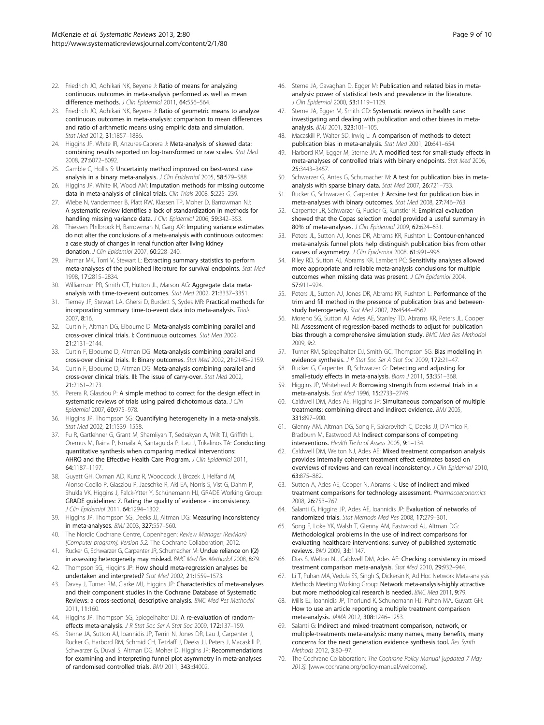- <span id="page-8-0"></span>22. Friedrich JO, Adhikari NK, Beyene J: Ratio of means for analyzing continuous outcomes in meta-analysis performed as well as mean difference methods. J Clin Epidemiol 2011, 64:556-564.
- 23. Friedrich JO, Adhikari NK, Beyene J: Ratio of geometric means to analyze continuous outcomes in meta-analysis: comparison to mean differences and ratio of arithmetic means using empiric data and simulation. Stat Med 2012, 31:1857–1886.
- 24. Higgins JP, White IR, Anzures-Cabrera J: Meta-analysis of skewed data: combining results reported on log-transformed or raw scales. Stat Med 2008, 27:6072–6092.
- 25. Gamble C, Hollis S: Uncertainty method improved on best-worst case analysis in a binary meta-analysis. J Clin Epidemiol 2005, 58:579-588.
- 26. Higgins JP, White IR, Wood AM: Imputation methods for missing outcome data in meta-analysis of clinical trials. Clin Trials 2008, 5:225-239.
- 27. Wiebe N, Vandermeer B, Platt RW, Klassen TP, Moher D, Barrowman NJ: A systematic review identifies a lack of standardization in methods for handling missing variance data. J Clin Epidemiol 2006, 59:342-353.
- 28. Thiessen Philbrook H, Barrowman N, Garg AX: Imputing variance estimates do not alter the conclusions of a meta-analysis with continuous outcomes: a case study of changes in renal function after living kidney donation. J Clin Epidemiol 2007, 60:228–240.
- 29. Parmar MK, Torri V, Stewart L: Extracting summary statistics to perform meta-analyses of the published literature for survival endpoints. Stat Med 1998, 17:2815–2834.
- 30. Williamson PR, Smith CT, Hutton JL, Marson AG: Aggregate data metaanalysis with time-to-event outcomes. Stat Med 2002, 21:3337–3351.
- 31. Tierney JF, Stewart LA, Ghersi D, Burdett S, Sydes MR: Practical methods for incorporating summary time-to-event data into meta-analysis. Trials 2007, 8:16.
- 32. Curtin F, Altman DG, Elbourne D: Meta-analysis combining parallel and cross-over clinical trials. I: Continuous outcomes. Stat Med 2002, 21:2131–2144.
- 33. Curtin F, Elbourne D, Altman DG: Meta-analysis combining parallel and cross-over clinical trials. II: Binary outcomes. Stat Med 2002, 21:2145–2159.
- 34. Curtin F, Elbourne D, Altman DG: Meta-analysis combining parallel and cross-over clinical trials. III: The issue of carry-over. Stat Med 2002, 21:2161–2173.
- 35. Perera R, Glasziou P: A simple method to correct for the design effect in systematic reviews of trials using paired dichotomous data. J Clin Epidemiol 2007, 60:975–978.
- 36. Higgins JP, Thompson SG: Quantifying heterogeneity in a meta-analysis. Stat Med 2002, 21:1539–1558.
- 37. Fu R, Gartlehner G, Grant M, Shamliyan T, Sedrakyan A, Wilt TJ, Griffith L, Oremus M, Raina P, Ismaila A, Santaguida P, Lau J, Trikalinos TA: Conducting quantitative synthesis when comparing medical interventions: AHRO and the Effective Health Care Program. J Clin Epidemiol 2011. 64:1187–1197.
- 38. Guyatt GH, Oxman AD, Kunz R, Woodcock J, Brozek J, Helfand M, Alonso-Coello P, Glasziou P, Jaeschke R, Akl EA, Norris S, Vist G, Dahm P, Shukla VK, Higgins J, Falck-Ytter Y, Schünemann HJ, GRADE Working Group: GRADE guidelines: 7. Rating the quality of evidence - inconsistency. J Clin Epidemiol 2011, 64:1294–1302.
- 39. Higgins JP, Thompson SG, Deeks JJ, Altman DG: Measuring inconsistency in meta-analyses. BMJ 2003, 327:557–560.
- 40. The Nordic Cochrane Centre, Copenhagen: Review Manager (RevMan) [Computer program]. Version 5.2. The Cochrane Collaboration; 2012.
- 41. Rucker G, Schwarzer G, Carpenter JR, Schumacher M: Undue reliance on I(2) in assessing heterogeneity may mislead. BMC Med Res Methodol 2008, 8:79.
- 42. Thompson SG, Higgins JP: How should meta-regression analyses be undertaken and interpreted? Stat Med 2002, 21:1559–1573.
- 43. Davey J, Turner RM, Clarke MJ, Higgins JP: Characteristics of meta-analyses and their component studies in the Cochrane Database of Systematic Reviews: a cross-sectional, descriptive analysis. BMC Med Res Methodol 2011, 11:160.
- 44. Higgins JP, Thompson SG, Spiegelhalter DJ: A re-evaluation of randomeffects meta-analysis. J R Stat Soc Ser A Stat Soc 2009, 172:137–159.
- 45. Sterne JA, Sutton AJ, Ioannidis JP, Terrin N, Jones DR, Lau J, Carpenter J, Rucker G, Harbord RM, Schmid CH, Tetzlaff J, Deeks JJ, Peters J, Macaskill P, Schwarzer G, Duval S, Altman DG, Moher D, Higgins JP: Recommendations for examining and interpreting funnel plot asymmetry in meta-analyses of randomised controlled trials. BMJ 2011, 343:d4002.
- 46. Sterne JA, Gavaghan D, Egger M: Publication and related bias in metaanalysis: power of statistical tests and prevalence in the literature. J Clin Epidemiol 2000, 53:1119–1129.
- 47. Sterne JA, Egger M, Smith GD: Systematic reviews in health care: investigating and dealing with publication and other biases in metaanalysis. BMJ 2001, 323:101–105.
- 48. Macaskill P, Walter SD, Irwig L: A comparison of methods to detect publication bias in meta-analysis. Stat Med 2001, 20:641–654.
- 49. Harbord RM, Egger M, Sterne JA: A modified test for small-study effects in meta-analyses of controlled trials with binary endpoints. Stat Med 2006, 25:3443–3457.
- 50. Schwarzer G, Antes G, Schumacher M: A test for publication bias in metaanalysis with sparse binary data. Stat Med 2007, 26:721-733.
- 51. Rucker G, Schwarzer G, Carpenter J: Arcsine test for publication bias in meta-analyses with binary outcomes. Stat Med 2008, 27:746–763.
- 52. Carpenter JR, Schwarzer G, Rucker G, Kunstler R: Empirical evaluation showed that the Copas selection model provided a useful summary in 80% of meta-analyses. J Clin Epidemiol 2009, 62:624-631.
- 53. Peters JL, Sutton AJ, Jones DR, Abrams KR, Rushton L: Contour-enhanced meta-analysis funnel plots help distinguish publication bias from other causes of asymmetry. J Clin Epidemiol 2008, 61:991–996.
- Riley RD, Sutton AJ, Abrams KR, Lambert PC: Sensitivity analyses allowed more appropriate and reliable meta-analysis conclusions for multiple outcomes when missing data was present. J Clin Epidemiol 2004, 57:911–924.
- 55. Peters JL, Sutton AJ, Jones DR, Abrams KR, Rushton L: Performance of the trim and fill method in the presence of publication bias and betweenstudy heterogeneity. Stat Med 2007, 26:4544-4562.
- 56. Moreno SG, Sutton AJ, Ades AE, Stanley TD, Abrams KR, Peters JL, Cooper NJ: Assessment of regression-based methods to adjust for publication bias through a comprehensive simulation study. BMC Med Res Methodol 2009, 9:2.
- 57. Turner RM, Spiegelhalter DJ, Smith GC, Thompson SG: Bias modelling in evidence synthesis. J R Stat Soc Ser A Stat Soc 2009, 172:21–47.
- 58. Rucker G, Carpenter JR, Schwarzer G: Detecting and adjusting for small-study effects in meta-analysis. Biom J 2011, 53:351-368
- 59. Higgins JP, Whitehead A: Borrowing strength from external trials in a meta-analysis. Stat Med 1996, 15:2733–2749.
- 60. Caldwell DM, Ades AE, Higgins JP: Simultaneous comparison of multiple treatments: combining direct and indirect evidence. BMJ 2005, 331:897–900.
- 61. Glenny AM, Altman DG, Song F, Sakarovitch C, Deeks JJ, D'Amico R, Bradburn M, Eastwood AJ: Indirect comparisons of competing interventions. Health Technol Assess 2005, 9:1–134.
- 62. Caldwell DM, Welton NJ, Ades AE: Mixed treatment comparison analysis provides internally coherent treatment effect estimates based on overviews of reviews and can reveal inconsistency. J Clin Epidemiol 2010, 63:875–882.
- 63. Sutton A, Ades AE, Cooper N, Abrams K: Use of indirect and mixed treatment comparisons for technology assessment. Pharmacoeconomics 2008, 26:753–767.
- 64. Salanti G, Higgins JP, Ades AE, Ioannidis JP: Evaluation of networks of randomized trials. Stat Methods Med Res 2008, 17:279–301.
- 65. Song F, Loke YK, Walsh T, Glenny AM, Eastwood AJ, Altman DG: Methodological problems in the use of indirect comparisons for evaluating healthcare interventions: survey of published systematic reviews. BMJ 2009, 3:b1147.
- 66. Dias S, Welton NJ, Caldwell DM, Ades AE: Checking consistency in mixed treatment comparison meta-analysis. Stat Med 2010, 29:932–944.
- 67. Li T, Puhan MA, Vedula SS, Singh S, Dickersin K, Ad Hoc Network Meta-analysis Methods Meeting Working Group: Network meta-analysis-highly attractive but more methodological research is needed. BMC Med 2011, 9:79.
- 68. Mills EJ, Ioannidis JP, Thorlund K, Schunemann HJ, Puhan MA, Guyatt GH: How to use an article reporting a multiple treatment comparison meta-analysis. JAMA 2012, 308:1246–1253.
- 69. Salanti G: Indirect and mixed-treatment comparison, network, or multiple-treatments meta-analysis: many names, many benefits, many concerns for the next generation evidence synthesis tool. Res Synth Methods 2012, 3:80–97.
- 70. The Cochrane Collaboration: The Cochrane Policy Manual [updated 7 May 2013]. [[www.cochrane.org/policy-manual/welcome\]](http://www.cochrane.org/policy-manual/welcome).